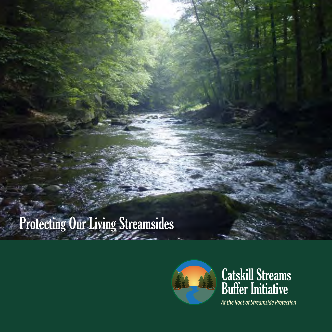# Protecting Our Living Streamsides



### Catskill Streams Buffer Initiative

*At the Root of Streamside Protection*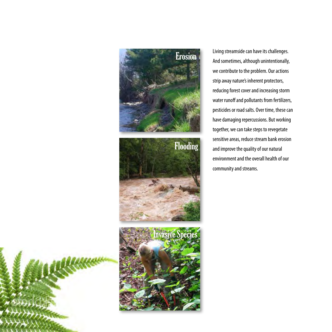

Living streamside can have its challenges. And sometimes, although unintentionally, we contribute to the problem. Our actions strip away nature's inherent protectors, reducing forest cover and increasing storm water runoff and pollutants from fertilizers, pesticides or road salts. Over time, these can have damaging repercussions. But working together, we can take steps to revegetate sensitive areas, reduce stream bank erosion and improve the quality of our natural environment and the overall health of our community and streams.

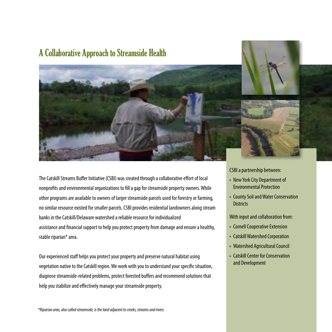#### A Collaborative Approach to Streamside Health



The Catskill Streams Buffer Initiative (CSBI) was created through a collaborative effort of local nonprofits and environmental organizations to fill a gap for streamside property owners. While other programs are available to owners of larger streamside parcels used for forestry or farming, no similar resource existed for smaller parcels. CSBI provides residential landowners along stream banks in the Catskill/Delaware watershed a reliable resource for individualized assistance and financial support to help you protect property from damage and ensure a healthy,

diagnose streamside-related problems, protect forested buffers and recommend solutions that help you stabilize and effectively manage your streamside property.

stable riparian\* area. Our experienced staff helps you protect your property and preserve natural habitat using vegetation native to the Catskill region. We work with you to understand your specific situation,

*\*Riparian area, also called streamside, is the land adjacent to creeks, streams and rivers.*

CSBI a partnership between:

- New York City Department of Environmental Protection
- County Soil and Water Conservation **Districts**

With input and collaboration from:

- Cornell Cooperative Extension
- Catskill Watershed Corporation
- Watershed Agricultural Council
- Catskill Center for Conservation and Development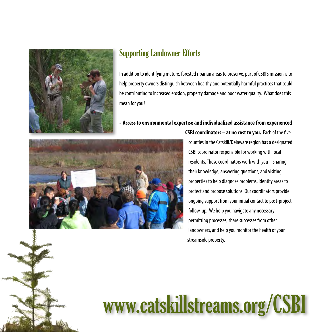

#### Supporting Landowner Efforts

In addition to identifying mature, forested riparian areas to preserve, part of CSBI's mission is to help property owners distinguish between healthy and potentially harmful practices that could be contributing to increased erosion, property damage and poor water quality. What does this mean for you?

#### • **Access to environmental expertise and individualized assistance from experienced**



counties in the Catskill/Delaware region has a designated CSBI coordinator responsible for working with local residents. These coordinators work with you – sharing their knowledge, answering questions, and visiting properties to help diagnose problems, identify areas to protect and propose solutions. Our coordinators provide ongoing support from your initial contact to post-project follow-up. We help you navigate any necessary permitting processes, share successes from other landowners, and help you monitor the health of your streamside property.

**CSBI coordinators – at no cost to you.** Each of the five

# www.catskillstreams.org/CSBI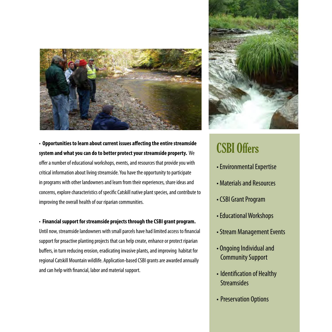

• **Opportunities to learn about current issues affecting the entire streamside system and what you can do to better protect your streamside property.** We offer a number of educational workshops, events, and resources that provide you with critical information about living streamside. You have the opportunity to participate in programs with other landowners and learn from their experiences, share ideas and concerns, explore characteristics of specific Catskill native plant species, and contribute to improving the overall health of our riparian communities.

• **Financial support for streamside projects through the CSBI grant program.** 

Until now, streamside landowners with small parcels have had limited access to financial support for proactive planting projects that can help create, enhance or protect riparian buffers, in turn reducing erosion, eradicating invasive plants, and improving habitat for regional Catskill Mountain wildlife. Application-based CSBI grants are awarded annually and can help with financial, labor and material support.



# CSBI Offers

- Environmental Expertise
- Materials and Resources
- CSBI Grant Program
- Educational Workshops
- Stream Management Events
- Ongoing Individual and Community Support
- Identification of Healthy **Streamsides**
- Preservation Options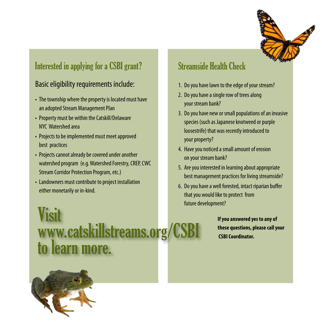

### Interested in applying for a CSBI grant?

#### Basic eligibility requirements include:

- The township where the property is located must have an adopted Stream Management Plan
- Property must be within the Catskill/Delaware NYC Watershed area
- Projects to be implemented must meet approved best practices
- Projects cannot already be covered under another watershed program (e.g. Watershed Forestry, CREP, CWC Stream Corridor Protection Program, etc.)
- Landowners must contribute to project installation either monetarily or in-kind.

Visit www.catskillstreams.org/CSB to learn more.

#### Streamside Health Check

- 1. Do you have lawn to the edge of your stream?
- 2. Do you have a single row of trees along your stream bank?
- 3. Do you have new or small populations of an invasive species (such as Japanese knotweed or purple loosestrife) that was recently introduced to your property?
- 4. Have you noticed a small amount of erosion on your stream bank?
- 5. Are you interested in learning about appropriate best management practices for living streamside?
- 6. Do you have a well forested, intact riparian buffer that you would like to protect from future development?

**If you answered yes to any of these questions, please call your CSBI Coordinator.**

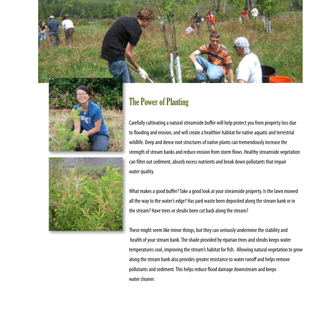



#### The Power of Planting

Carefully cultivating a natural streamside buffer will help protect you from property loss due to flooding and erosion, and will create a healthier habitat for native aquatic and terrestrial wildlife. Deep and dense root structures of native plants can tremendously increase the strength of stream banks and reduce erosion from storm flows. Healthy streamside vegetation can filter out sediment, absorb excess nutrients and break down pollutants that impair water quality.

What makes a good buffer? Take a good look at your streamside property. Is the lawn mowed all the way to the water's edge? Has yard waste been deposited along the stream bank or in the stream? Have trees or shrubs been cut back along the stream?

These might seem like minor things, but they can seriously undermine the stability and health of your stream bank. The shade provided by riparian trees and shrubs keeps water temperatures cool, improving the stream's habitat for fish. Allowing natural vegetation to grow along the stream bank also provides greater resistance to water runoff and helps remove pollutants and sediment. This helps reduce flood damage downstream and keeps water cleaner.